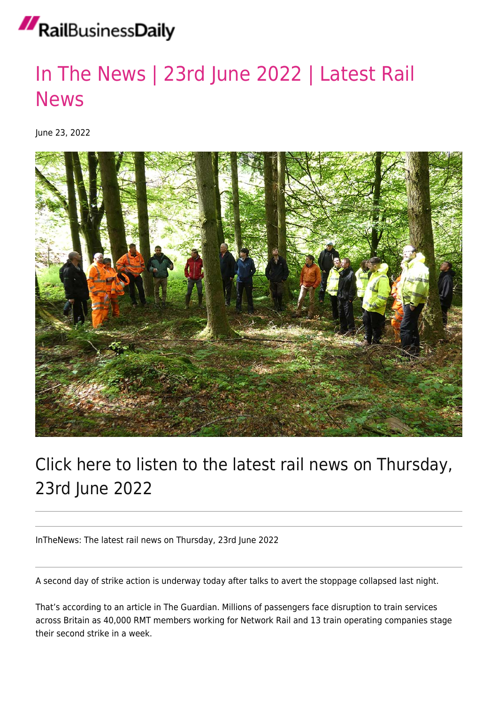## RailBusinessDaily

## [In The News | 23rd June 2022 | Latest Rail](https://news.railbusinessdaily.com/in-the-news-23rd-june-2022-latest-rail-news/) [News](https://news.railbusinessdaily.com/in-the-news-23rd-june-2022-latest-rail-news/)

June 23, 2022



## Click here to listen to the latest rail news on Thursday, 23rd June 2022

InTheNews: The latest rail news on Thursday, 23rd June 2022

A second day of strike action is underway today after talks to avert the stoppage collapsed last night.

That's according to an article in The Guardian. Millions of passengers face disruption to train services across Britain as 40,000 RMT members working for Network Rail and 13 train operating companies stage their second strike in a week.